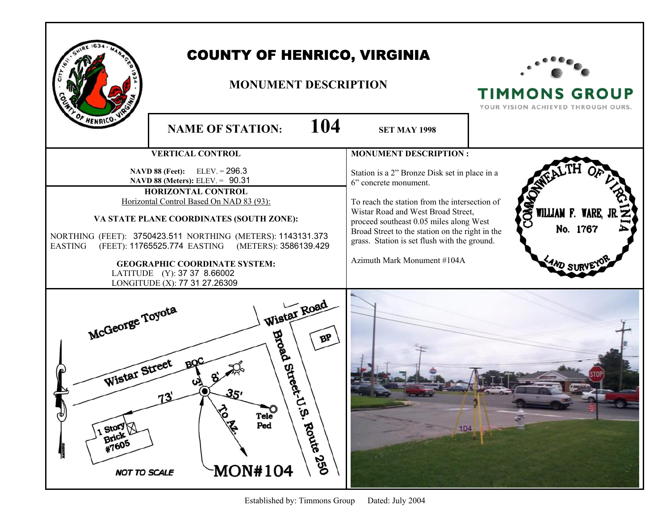|                                                                                             | <b>COUNTY OF HENRICO, VIRGINIA</b><br><b>MONUMENT DESCRIPTION</b>                                                                                                                                                                                                                                                                                                                                                           |                                                                                                                                                                                                                                                                                                                                            | <b>TIMMONS GROUP</b><br>YOUR VISION ACHIEVED THROUGH OURS. |
|---------------------------------------------------------------------------------------------|-----------------------------------------------------------------------------------------------------------------------------------------------------------------------------------------------------------------------------------------------------------------------------------------------------------------------------------------------------------------------------------------------------------------------------|--------------------------------------------------------------------------------------------------------------------------------------------------------------------------------------------------------------------------------------------------------------------------------------------------------------------------------------------|------------------------------------------------------------|
| F HENRICO.                                                                                  | 104<br><b>NAME OF STATION:</b>                                                                                                                                                                                                                                                                                                                                                                                              | <b>SET MAY 1998</b>                                                                                                                                                                                                                                                                                                                        |                                                            |
|                                                                                             | <b>VERTICAL CONTROL</b>                                                                                                                                                                                                                                                                                                                                                                                                     | <b>MONUMENT DESCRIPTION:</b>                                                                                                                                                                                                                                                                                                               |                                                            |
| <b>EASTING</b>                                                                              | <b>NAVD 88 (Feet):</b> ELEV. = $296.3$<br><b>NAVD 88 (Meters): ELEV. = 90.31</b><br>HORIZONTAL CONTROL<br>Horizontal Control Based On NAD 83 (93):<br>VA STATE PLANE COORDINATES (SOUTH ZONE):<br>NORTHING (FEET): 3750423.511 NORTHING (METERS): 1143131.373<br>(FEET): 11765525.774 EASTING (METERS): 3586139.429<br><b>GEOGRAPHIC COORDINATE SYSTEM:</b><br>LATITUDE (Y): 37 37 8.66002<br>LONGITUDE (X): 77 31 27.26309 | Station is a 2" Bronze Disk set in place in a<br>6" concrete monument.<br>To reach the station from the intersection of<br>Wistar Road and West Broad Street,<br>proceed southeast 0.05 miles along West<br>Broad Street to the station on the right in the<br>grass. Station is set flush with the ground.<br>Azimuth Mark Monument #104A | <b>COMA</b><br>WILLIAM F. WARE,<br>No. 1767                |
| McGeorge Toyota<br>Wistar Street<br>τ<br>1 Story \<br>Brick<br>#7605<br><b>NOT TO SCALE</b> | Wistar Road<br><b>Broad</b><br>ВP<br>Street-U<br><b>PART</b><br>ΰ.<br>Tele<br>Ped<br>Route 250<br><b>MON#104</b>                                                                                                                                                                                                                                                                                                            | 104                                                                                                                                                                                                                                                                                                                                        |                                                            |

Established by: Timmons Group Dated: July 2004